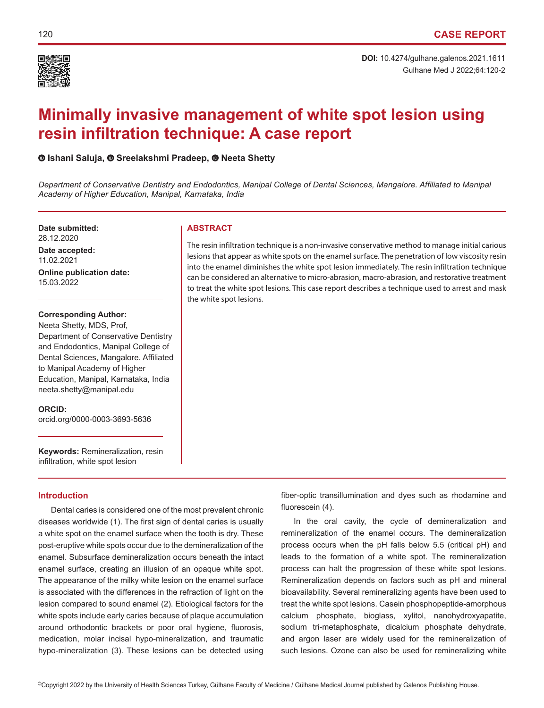

Gulhane Med J 2022;64:120-2 **DOI:** 10.4274/gulhane.galenos.2021.1611

# **Minimally invasive management of white spot lesion using resin infiltration technique: A case report**

## **Ishani Saluja,Sreelakshmi Pradeep,Neeta Shetty**

*Department of Conservative Dentistry and Endodontics, Manipal College of Dental Sciences, Mangalore. Affiliated to Manipal Academy of Higher Education, Manipal, Karnataka, India*

**Date submitted: ABSTRACT** 28.12.2020 **Date accepted:** 11.02.2021 **Online publication date:** 15.03.2022

#### **Corresponding Author:**

Neeta Shetty, MDS, Prof, Department of Conservative Dentistry and Endodontics, Manipal College of Dental Sciences, Mangalore. Affiliated to Manipal Academy of Higher Education, Manipal, Karnataka, India neeta.shetty@manipal.edu

#### **ORCID:**

orcid.org/0000-0003-3693-5636

**Keywords:** Remineralization, resin infiltration, white spot lesion

#### **Introduction**

Dental caries is considered one of the most prevalent chronic diseases worldwide (1). The first sign of dental caries is usually a white spot on the enamel surface when the tooth is dry. These post-eruptive white spots occur due to the demineralization of the enamel. Subsurface demineralization occurs beneath the intact enamel surface, creating an illusion of an opaque white spot. The appearance of the milky white lesion on the enamel surface is associated with the differences in the refraction of light on the lesion compared to sound enamel (2). Etiological factors for the white spots include early caries because of plaque accumulation around orthodontic brackets or poor oral hygiene, fluorosis, medication, molar incisal hypo-mineralization, and traumatic hypo-mineralization (3). These lesions can be detected using

The resin infiltration technique is a non-invasive conservative method to manage initial carious lesions that appear as white spots on the enamel surface. The penetration of low viscosity resin into the enamel diminishes the white spot lesion immediately. The resin infiltration technique can be considered an alternative to micro-abrasion, macro-abrasion, and restorative treatment to treat the white spot lesions. This case report describes a technique used to arrest and mask the white spot lesions.

> fiber-optic transillumination and dyes such as rhodamine and fluorescein (4).

> In the oral cavity, the cycle of demineralization and remineralization of the enamel occurs. The demineralization process occurs when the pH falls below 5.5 (critical pH) and leads to the formation of a white spot. The remineralization process can halt the progression of these white spot lesions. Remineralization depends on factors such as pH and mineral bioavailability. Several remineralizing agents have been used to treat the white spot lesions. Casein phosphopeptide-amorphous calcium phosphate, bioglass, xylitol, nanohydroxyapatite, sodium tri-metaphosphate, dicalcium phosphate dehydrate, and argon laser are widely used for the remineralization of such lesions. Ozone can also be used for remineralizing white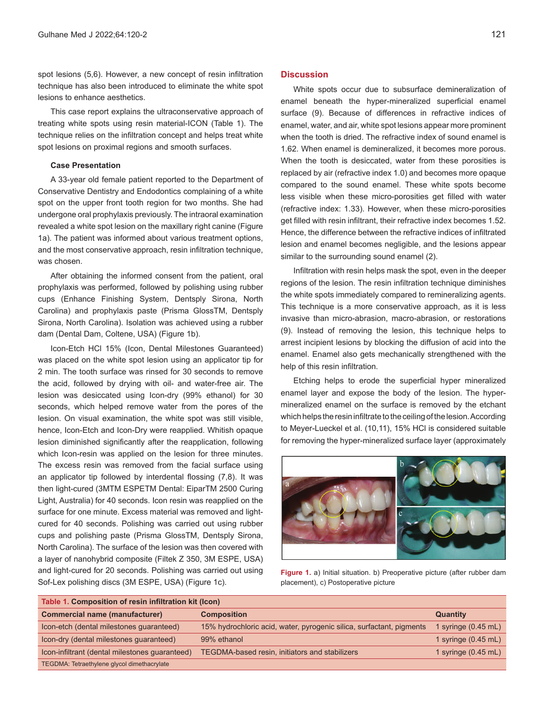spot lesions (5,6). However, a new concept of resin infiltration technique has also been introduced to eliminate the white spot lesions to enhance aesthetics.

This case report explains the ultraconservative approach of treating white spots using resin material-ICON (Table 1). The technique relies on the infiltration concept and helps treat white spot lesions on proximal regions and smooth surfaces.

#### **Case Presentation**

A 33-year old female patient reported to the Department of Conservative Dentistry and Endodontics complaining of a white spot on the upper front tooth region for two months. She had undergone oral prophylaxis previously. The intraoral examination revealed a white spot lesion on the maxillary right canine (Figure 1a). The patient was informed about various treatment options, and the most conservative approach, resin infiltration technique, was chosen.

After obtaining the informed consent from the patient, oral prophylaxis was performed, followed by polishing using rubber cups (Enhance Finishing System, Dentsply Sirona, North Carolina) and prophylaxis paste (Prisma GlossTM, Dentsply Sirona, North Carolina). Isolation was achieved using a rubber dam (Dental Dam, Coltene, USA) (Figure 1b).

Icon-Etch HCl 15% (Icon, Dental Milestones Guaranteed) was placed on the white spot lesion using an applicator tip for 2 min. The tooth surface was rinsed for 30 seconds to remove the acid, followed by drying with oil- and water-free air. The lesion was desiccated using Icon-dry (99% ethanol) for 30 seconds, which helped remove water from the pores of the lesion. On visual examination, the white spot was still visible, hence, Icon-Etch and Icon-Dry were reapplied. Whitish opaque lesion diminished significantly after the reapplication, following which Icon-resin was applied on the lesion for three minutes. The excess resin was removed from the facial surface using an applicator tip followed by interdental flossing (7,8). It was then light-cured (3MTM ESPETM Dental: EiparTM 2500 Curing Light, Australia) for 40 seconds. Icon resin was reapplied on the surface for one minute. Excess material was removed and lightcured for 40 seconds. Polishing was carried out using rubber cups and polishing paste (Prisma GlossTM, Dentsply Sirona, North Carolina). The surface of the lesion was then covered with a layer of nanohybrid composite (Filtek Z 350, 3M ESPE, USA) and light-cured for 20 seconds. Polishing was carried out using Sof-Lex polishing discs (3M ESPE, USA) (Figure 1c).

#### **Discussion**

White spots occur due to subsurface demineralization of enamel beneath the hyper-mineralized superficial enamel surface (9). Because of differences in refractive indices of enamel, water, and air, white spot lesions appear more prominent when the tooth is dried. The refractive index of sound enamel is 1.62. When enamel is demineralized, it becomes more porous. When the tooth is desiccated, water from these porosities is replaced by air (refractive index 1.0) and becomes more opaque compared to the sound enamel. These white spots become less visible when these micro-porosities get filled with water (refractive index: 1.33). However, when these micro-porosities get filled with resin infiltrant, their refractive index becomes 1.52. Hence, the difference between the refractive indices of infiltrated lesion and enamel becomes negligible, and the lesions appear similar to the surrounding sound enamel (2).

Infiltration with resin helps mask the spot, even in the deeper regions of the lesion. The resin infiltration technique diminishes the white spots immediately compared to remineralizing agents. This technique is a more conservative approach, as it is less invasive than micro-abrasion, macro-abrasion, or restorations (9). Instead of removing the lesion, this technique helps to arrest incipient lesions by blocking the diffusion of acid into the enamel. Enamel also gets mechanically strengthened with the help of this resin infiltration.

Etching helps to erode the superficial hyper mineralized enamel layer and expose the body of the lesion. The hypermineralized enamel on the surface is removed by the etchant which helps the resin infiltrate to the ceiling of the lesion. According to Meyer-Lueckel et al. (10,11), 15% HCl is considered suitable for removing the hyper-mineralized surface layer (approximately



Figure 1. a) Initial situation. b) Preoperative picture (after rubber dam placement), c) Postoperative picture

| Table 1. Composition of resin infiltration kit (Icon) |                                                                      |                               |
|-------------------------------------------------------|----------------------------------------------------------------------|-------------------------------|
| <b>Commercial name (manufacturer)</b>                 | <b>Composition</b>                                                   | <b>Quantity</b>               |
| Icon-etch (dental milestones guaranteed)              | 15% hydrochloric acid, water, pyrogenic silica, surfactant, pigments | 1 syringe $(0.45$ mL)         |
| Icon-dry (dental milestones guaranteed)               | 99% ethanol                                                          | 1 syringe $(0.45 \text{ mL})$ |
| Icon-infiltrant (dental milestones quaranteed)        | TEGDMA-based resin, initiators and stabilizers                       | 1 syringe $(0.45$ mL)         |
| TEGDMA: Tetraethylene glycol dimethacrylate           |                                                                      |                               |